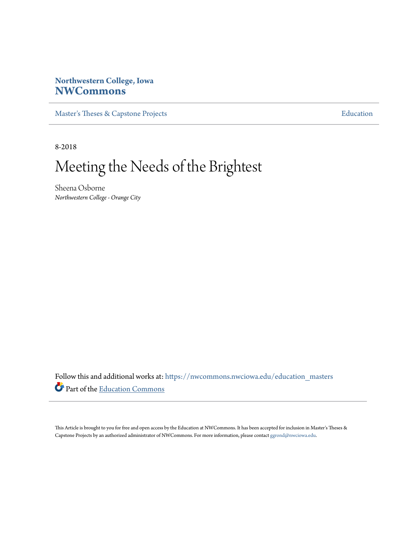# **Northwestern College, Iowa [NWCommons](https://nwcommons.nwciowa.edu?utm_source=nwcommons.nwciowa.edu%2Feducation_masters%2F112&utm_medium=PDF&utm_campaign=PDFCoverPages)**

[Master's Theses & Capstone Projects](https://nwcommons.nwciowa.edu/education_masters?utm_source=nwcommons.nwciowa.edu%2Feducation_masters%2F112&utm_medium=PDF&utm_campaign=PDFCoverPages) **[Education](https://nwcommons.nwciowa.edu/education?utm_source=nwcommons.nwciowa.edu%2Feducation_masters%2F112&utm_medium=PDF&utm_campaign=PDFCoverPages)** 

8-2018

# Meeting the Needs of the Brightest

Sheena Osborne *Northwestern College - Orange City*

Follow this and additional works at: [https://nwcommons.nwciowa.edu/education\\_masters](https://nwcommons.nwciowa.edu/education_masters?utm_source=nwcommons.nwciowa.edu%2Feducation_masters%2F112&utm_medium=PDF&utm_campaign=PDFCoverPages) Part of the [Education Commons](http://network.bepress.com/hgg/discipline/784?utm_source=nwcommons.nwciowa.edu%2Feducation_masters%2F112&utm_medium=PDF&utm_campaign=PDFCoverPages)

This Article is brought to you for free and open access by the Education at NWCommons. It has been accepted for inclusion in Master's Theses & Capstone Projects by an authorized administrator of NWCommons. For more information, please contact [ggrond@nwciowa.edu.](mailto:ggrond@nwciowa.edu)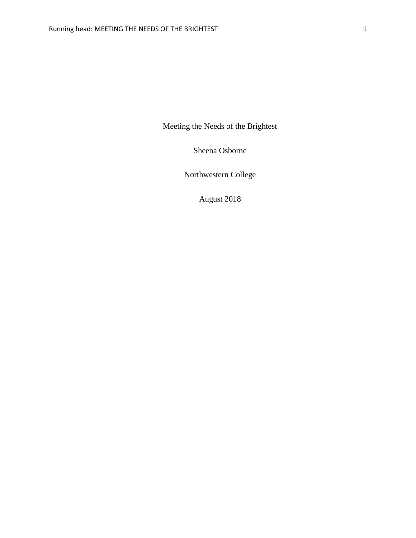Meeting the Needs of the Brightest

Sheena Osborne

Northwestern College

August 2018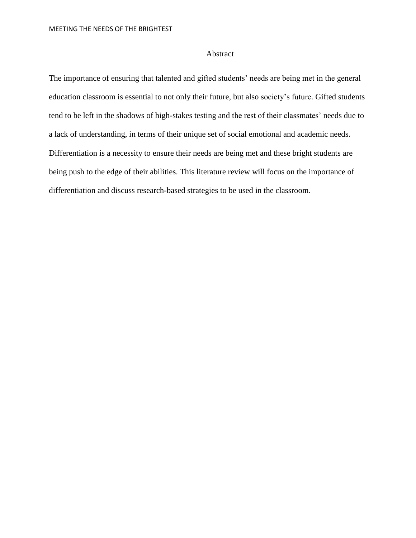# Abstract

The importance of ensuring that talented and gifted students' needs are being met in the general education classroom is essential to not only their future, but also society's future. Gifted students tend to be left in the shadows of high-stakes testing and the rest of their classmates' needs due to a lack of understanding, in terms of their unique set of social emotional and academic needs. Differentiation is a necessity to ensure their needs are being met and these bright students are being push to the edge of their abilities. This literature review will focus on the importance of differentiation and discuss research-based strategies to be used in the classroom.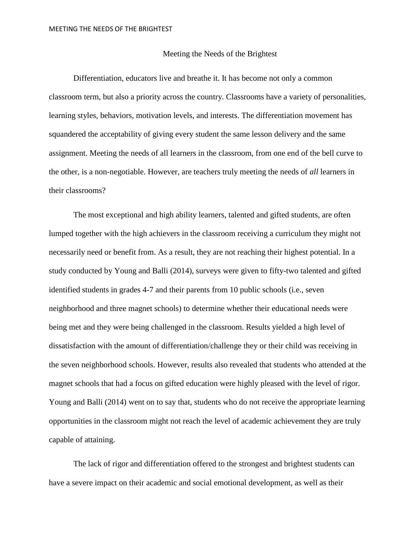## Meeting the Needs of the Brightest

Differentiation, educators live and breathe it. It has become not only a common classroom term, but also a priority across the country. Classrooms have a variety of personalities, learning styles, behaviors, motivation levels, and interests. The differentiation movement has squandered the acceptability of giving every student the same lesson delivery and the same assignment. Meeting the needs of all learners in the classroom, from one end of the bell curve to the other, is a non-negotiable. However, are teachers truly meeting the needs of *all* learners in their classrooms?

The most exceptional and high ability learners, talented and gifted students, are often lumped together with the high achievers in the classroom receiving a curriculum they might not necessarily need or benefit from. As a result, they are not reaching their highest potential. In a study conducted by Young and Balli (2014), surveys were given to fifty-two talented and gifted identified students in grades 4-7 and their parents from 10 public schools (i.e., seven neighborhood and three magnet schools) to determine whether their educational needs were being met and they were being challenged in the classroom. Results yielded a high level of dissatisfaction with the amount of differentiation/challenge they or their child was receiving in the seven neighborhood schools. However, results also revealed that students who attended at the magnet schools that had a focus on gifted education were highly pleased with the level of rigor. Young and Balli (2014) went on to say that, students who do not receive the appropriate learning opportunities in the classroom might not reach the level of academic achievement they are truly capable of attaining.

The lack of rigor and differentiation offered to the strongest and brightest students can have a severe impact on their academic and social emotional development, as well as their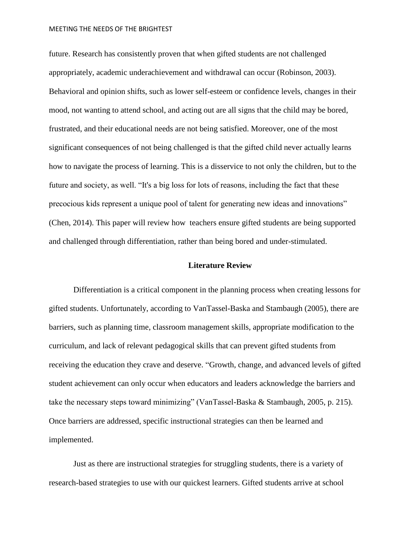future. Research has consistently proven that when gifted students are not challenged appropriately, academic underachievement and withdrawal can occur (Robinson, 2003). Behavioral and opinion shifts, such as lower self-esteem or confidence levels, changes in their mood, not wanting to attend school, and acting out are all signs that the child may be bored, frustrated, and their educational needs are not being satisfied. Moreover, one of the most significant consequences of not being challenged is that the gifted child never actually learns how to navigate the process of learning. This is a disservice to not only the children, but to the future and society, as well. "It's a big loss for lots of reasons, including the fact that these precocious kids represent a unique pool of talent for generating new ideas and innovations" (Chen, 2014). This paper will review how teachers ensure gifted students are being supported and challenged through differentiation, rather than being bored and under-stimulated.

# **Literature Review**

Differentiation is a critical component in the planning process when creating lessons for gifted students. Unfortunately, according to VanTassel-Baska and Stambaugh (2005), there are barriers, such as planning time, classroom management skills, appropriate modification to the curriculum, and lack of relevant pedagogical skills that can prevent gifted students from receiving the education they crave and deserve. "Growth, change, and advanced levels of gifted student achievement can only occur when educators and leaders acknowledge the barriers and take the necessary steps toward minimizing" (VanTassel-Baska & Stambaugh, 2005, p. 215). Once barriers are addressed, specific instructional strategies can then be learned and implemented.

Just as there are instructional strategies for struggling students, there is a variety of research-based strategies to use with our quickest learners. Gifted students arrive at school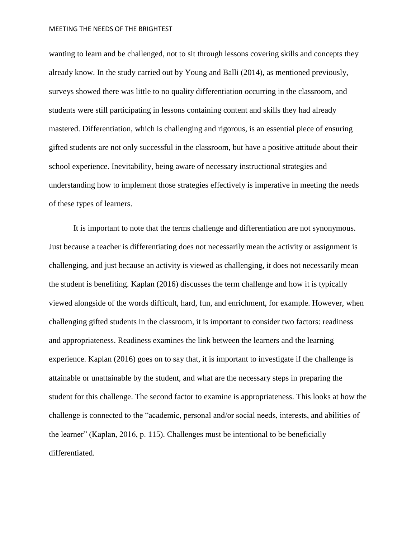wanting to learn and be challenged, not to sit through lessons covering skills and concepts they already know. In the study carried out by Young and Balli (2014), as mentioned previously, surveys showed there was little to no quality differentiation occurring in the classroom, and students were still participating in lessons containing content and skills they had already mastered. Differentiation, which is challenging and rigorous, is an essential piece of ensuring gifted students are not only successful in the classroom, but have a positive attitude about their school experience. Inevitability, being aware of necessary instructional strategies and understanding how to implement those strategies effectively is imperative in meeting the needs of these types of learners.

It is important to note that the terms challenge and differentiation are not synonymous. Just because a teacher is differentiating does not necessarily mean the activity or assignment is challenging, and just because an activity is viewed as challenging, it does not necessarily mean the student is benefiting. Kaplan (2016) discusses the term challenge and how it is typically viewed alongside of the words difficult, hard, fun, and enrichment, for example. However, when challenging gifted students in the classroom, it is important to consider two factors: readiness and appropriateness. Readiness examines the link between the learners and the learning experience. Kaplan (2016) goes on to say that, it is important to investigate if the challenge is attainable or unattainable by the student, and what are the necessary steps in preparing the student for this challenge. The second factor to examine is appropriateness. This looks at how the challenge is connected to the "academic, personal and/or social needs, interests, and abilities of the learner" (Kaplan, 2016, p. 115). Challenges must be intentional to be beneficially differentiated.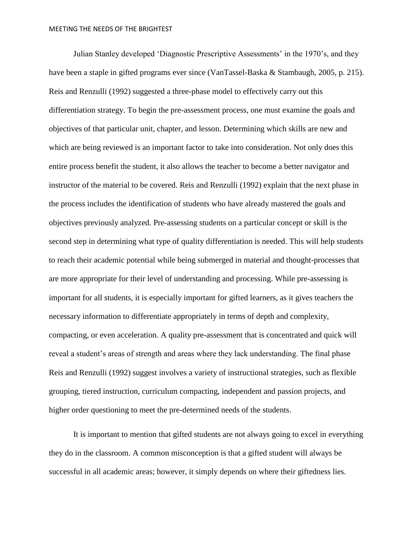Julian Stanley developed 'Diagnostic Prescriptive Assessments' in the 1970's, and they have been a staple in gifted programs ever since (VanTassel-Baska & Stambaugh, 2005, p. 215). Reis and Renzulli (1992) suggested a three-phase model to effectively carry out this differentiation strategy. To begin the pre-assessment process, one must examine the goals and objectives of that particular unit, chapter, and lesson. Determining which skills are new and which are being reviewed is an important factor to take into consideration. Not only does this entire process benefit the student, it also allows the teacher to become a better navigator and instructor of the material to be covered. Reis and Renzulli (1992) explain that the next phase in the process includes the identification of students who have already mastered the goals and objectives previously analyzed. Pre-assessing students on a particular concept or skill is the second step in determining what type of quality differentiation is needed. This will help students to reach their academic potential while being submerged in material and thought-processes that are more appropriate for their level of understanding and processing. While pre-assessing is important for all students, it is especially important for gifted learners, as it gives teachers the necessary information to differentiate appropriately in terms of depth and complexity, compacting, or even acceleration. A quality pre-assessment that is concentrated and quick will reveal a student's areas of strength and areas where they lack understanding. The final phase Reis and Renzulli (1992) suggest involves a variety of instructional strategies, such as flexible grouping, tiered instruction, curriculum compacting, independent and passion projects, and higher order questioning to meet the pre-determined needs of the students.

It is important to mention that gifted students are not always going to excel in everything they do in the classroom. A common misconception is that a gifted student will always be successful in all academic areas; however, it simply depends on where their giftedness lies.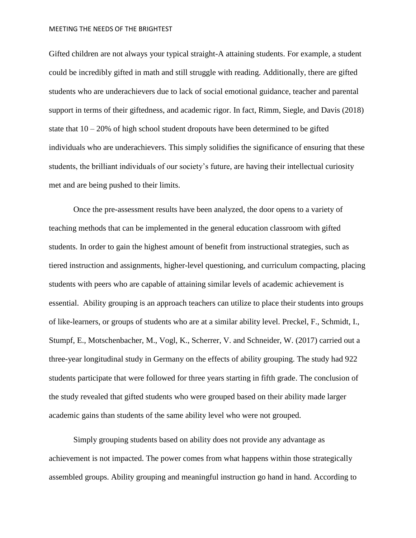Gifted children are not always your typical straight-A attaining students. For example, a student could be incredibly gifted in math and still struggle with reading. Additionally, there are gifted students who are underachievers due to lack of social emotional guidance, teacher and parental support in terms of their giftedness, and academic rigor. In fact, Rimm, Siegle, and Davis (2018) state that  $10 - 20\%$  of high school student dropouts have been determined to be gifted individuals who are underachievers. This simply solidifies the significance of ensuring that these students, the brilliant individuals of our society's future, are having their intellectual curiosity met and are being pushed to their limits.

Once the pre-assessment results have been analyzed, the door opens to a variety of teaching methods that can be implemented in the general education classroom with gifted students. In order to gain the highest amount of benefit from instructional strategies, such as tiered instruction and assignments, higher-level questioning, and curriculum compacting, placing students with peers who are capable of attaining similar levels of academic achievement is essential. Ability grouping is an approach teachers can utilize to place their students into groups of like-learners, or groups of students who are at a similar ability level. Preckel, F., Schmidt, I., Stumpf, E., Motschenbacher, M., Vogl, K., Scherrer, V. and Schneider, W. (2017) carried out a three-year longitudinal study in Germany on the effects of ability grouping. The study had 922 students participate that were followed for three years starting in fifth grade. The conclusion of the study revealed that gifted students who were grouped based on their ability made larger academic gains than students of the same ability level who were not grouped.

Simply grouping students based on ability does not provide any advantage as achievement is not impacted. The power comes from what happens within those strategically assembled groups. Ability grouping and meaningful instruction go hand in hand. According to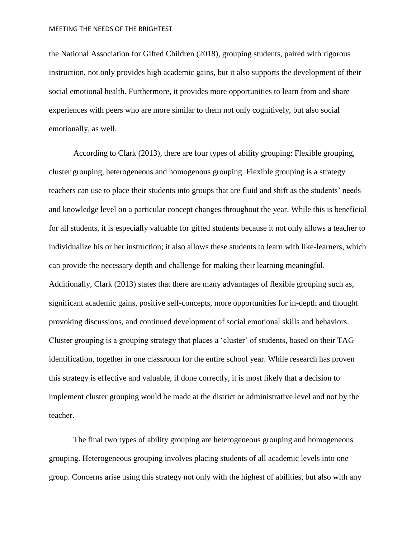the National Association for Gifted Children (2018), grouping students, paired with rigorous instruction, not only provides high academic gains, but it also supports the development of their social emotional health. Furthermore, it provides more opportunities to learn from and share experiences with peers who are more similar to them not only cognitively, but also social emotionally, as well.

According to Clark (2013), there are four types of ability grouping: Flexible grouping, cluster grouping, heterogeneous and homogenous grouping. Flexible grouping is a strategy teachers can use to place their students into groups that are fluid and shift as the students' needs and knowledge level on a particular concept changes throughout the year. While this is beneficial for all students, it is especially valuable for gifted students because it not only allows a teacher to individualize his or her instruction; it also allows these students to learn with like-learners, which can provide the necessary depth and challenge for making their learning meaningful. Additionally, Clark (2013) states that there are many advantages of flexible grouping such as, significant academic gains, positive self-concepts, more opportunities for in-depth and thought provoking discussions, and continued development of social emotional skills and behaviors. Cluster grouping is a grouping strategy that places a 'cluster' of students, based on their TAG identification, together in one classroom for the entire school year. While research has proven this strategy is effective and valuable, if done correctly, it is most likely that a decision to implement cluster grouping would be made at the district or administrative level and not by the teacher.

The final two types of ability grouping are heterogeneous grouping and homogeneous grouping. Heterogeneous grouping involves placing students of all academic levels into one group. Concerns arise using this strategy not only with the highest of abilities, but also with any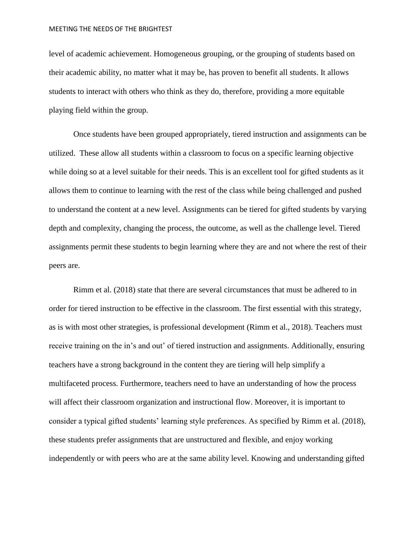level of academic achievement. Homogeneous grouping, or the grouping of students based on their academic ability, no matter what it may be, has proven to benefit all students. It allows students to interact with others who think as they do, therefore, providing a more equitable playing field within the group.

Once students have been grouped appropriately, tiered instruction and assignments can be utilized. These allow all students within a classroom to focus on a specific learning objective while doing so at a level suitable for their needs. This is an excellent tool for gifted students as it allows them to continue to learning with the rest of the class while being challenged and pushed to understand the content at a new level. Assignments can be tiered for gifted students by varying depth and complexity, changing the process, the outcome, as well as the challenge level. Tiered assignments permit these students to begin learning where they are and not where the rest of their peers are.

Rimm et al. (2018) state that there are several circumstances that must be adhered to in order for tiered instruction to be effective in the classroom. The first essential with this strategy, as is with most other strategies, is professional development (Rimm et al., 2018). Teachers must receive training on the in's and out' of tiered instruction and assignments. Additionally, ensuring teachers have a strong background in the content they are tiering will help simplify a multifaceted process. Furthermore, teachers need to have an understanding of how the process will affect their classroom organization and instructional flow. Moreover, it is important to consider a typical gifted students' learning style preferences. As specified by Rimm et al. (2018), these students prefer assignments that are unstructured and flexible, and enjoy working independently or with peers who are at the same ability level. Knowing and understanding gifted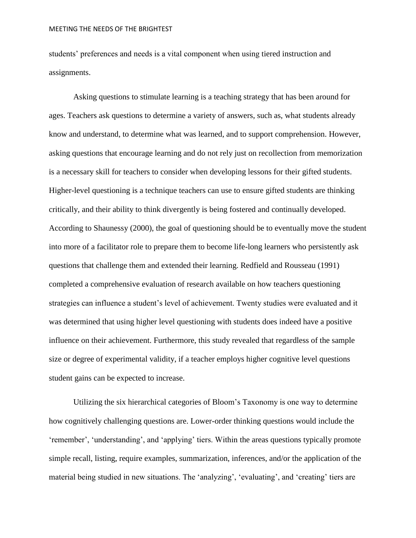students' preferences and needs is a vital component when using tiered instruction and assignments.

Asking questions to stimulate learning is a teaching strategy that has been around for ages. Teachers ask questions to determine a variety of answers, such as, what students already know and understand, to determine what was learned, and to support comprehension. However, asking questions that encourage learning and do not rely just on recollection from memorization is a necessary skill for teachers to consider when developing lessons for their gifted students. Higher-level questioning is a technique teachers can use to ensure gifted students are thinking critically, and their ability to think divergently is being fostered and continually developed. According to Shaunessy (2000), the goal of questioning should be to eventually move the student into more of a facilitator role to prepare them to become life-long learners who persistently ask questions that challenge them and extended their learning. Redfield and Rousseau (1991) completed a comprehensive evaluation of research available on how teachers questioning strategies can influence a student's level of achievement. Twenty studies were evaluated and it was determined that using higher level questioning with students does indeed have a positive influence on their achievement. Furthermore, this study revealed that regardless of the sample size or degree of experimental validity, if a teacher employs higher cognitive level questions student gains can be expected to increase.

Utilizing the six hierarchical categories of Bloom's Taxonomy is one way to determine how cognitively challenging questions are. Lower-order thinking questions would include the 'remember', 'understanding', and 'applying' tiers. Within the areas questions typically promote simple recall, listing, require examples, summarization, inferences, and/or the application of the material being studied in new situations. The 'analyzing', 'evaluating', and 'creating' tiers are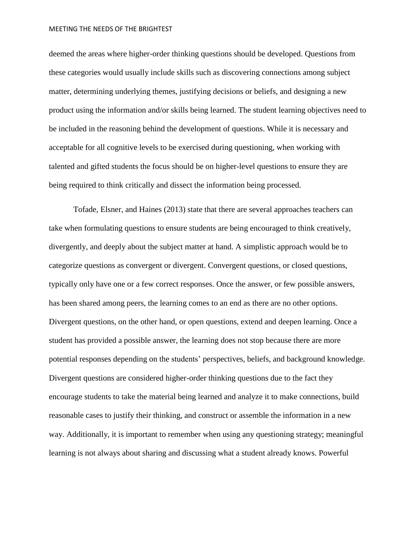deemed the areas where higher-order thinking questions should be developed. Questions from these categories would usually include skills such as discovering connections among subject matter, determining underlying themes, justifying decisions or beliefs, and designing a new product using the information and/or skills being learned. The student learning objectives need to be included in the reasoning behind the development of questions. While it is necessary and acceptable for all cognitive levels to be exercised during questioning, when working with talented and gifted students the focus should be on higher-level questions to ensure they are being required to think critically and dissect the information being processed.

Tofade, Elsner, and Haines (2013) state that there are several approaches teachers can take when formulating questions to ensure students are being encouraged to think creatively, divergently, and deeply about the subject matter at hand. A simplistic approach would be to categorize questions as convergent or divergent. Convergent questions, or closed questions, typically only have one or a few correct responses. Once the answer, or few possible answers, has been shared among peers, the learning comes to an end as there are no other options. Divergent questions, on the other hand, or open questions, extend and deepen learning. Once a student has provided a possible answer, the learning does not stop because there are more potential responses depending on the students' perspectives, beliefs, and background knowledge. Divergent questions are considered higher-order thinking questions due to the fact they encourage students to take the material being learned and analyze it to make connections, build reasonable cases to justify their thinking, and construct or assemble the information in a new way. Additionally, it is important to remember when using any questioning strategy; meaningful learning is not always about sharing and discussing what a student already knows. Powerful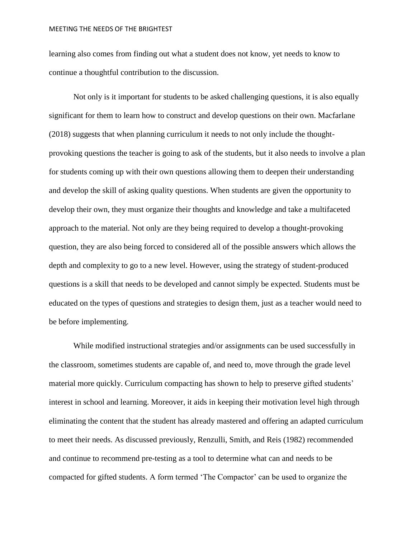learning also comes from finding out what a student does not know, yet needs to know to continue a thoughtful contribution to the discussion.

Not only is it important for students to be asked challenging questions, it is also equally significant for them to learn how to construct and develop questions on their own. Macfarlane (2018) suggests that when planning curriculum it needs to not only include the thoughtprovoking questions the teacher is going to ask of the students, but it also needs to involve a plan for students coming up with their own questions allowing them to deepen their understanding and develop the skill of asking quality questions. When students are given the opportunity to develop their own, they must organize their thoughts and knowledge and take a multifaceted approach to the material. Not only are they being required to develop a thought-provoking question, they are also being forced to considered all of the possible answers which allows the depth and complexity to go to a new level. However, using the strategy of student-produced questions is a skill that needs to be developed and cannot simply be expected. Students must be educated on the types of questions and strategies to design them, just as a teacher would need to be before implementing.

While modified instructional strategies and/or assignments can be used successfully in the classroom, sometimes students are capable of, and need to, move through the grade level material more quickly. Curriculum compacting has shown to help to preserve gifted students' interest in school and learning. Moreover, it aids in keeping their motivation level high through eliminating the content that the student has already mastered and offering an adapted curriculum to meet their needs. As discussed previously, Renzulli, Smith, and Reis (1982) recommended and continue to recommend pre-testing as a tool to determine what can and needs to be compacted for gifted students. A form termed 'The Compactor' can be used to organize the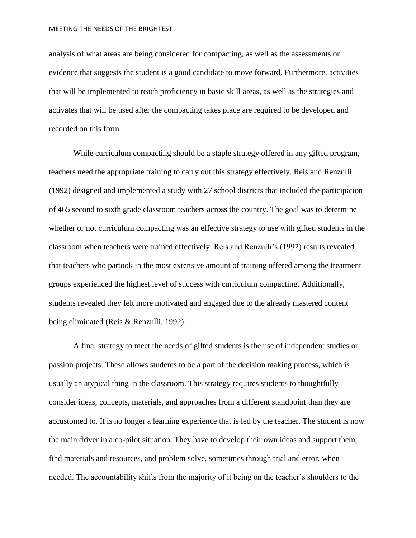analysis of what areas are being considered for compacting, as well as the assessments or evidence that suggests the student is a good candidate to move forward. Furthermore, activities that will be implemented to reach proficiency in basic skill areas, as well as the strategies and activates that will be used after the compacting takes place are required to be developed and recorded on this form.

While curriculum compacting should be a staple strategy offered in any gifted program, teachers need the appropriate training to carry out this strategy effectively. Reis and Renzulli (1992) designed and implemented a study with 27 school districts that included the participation of 465 second to sixth grade classroom teachers across the country. The goal was to determine whether or not curriculum compacting was an effective strategy to use with gifted students in the classroom when teachers were trained effectively. Reis and Renzulli's (1992) results revealed that teachers who partook in the most extensive amount of training offered among the treatment groups experienced the highest level of success with curriculum compacting. Additionally, students revealed they felt more motivated and engaged due to the already mastered content being eliminated (Reis & Renzulli, 1992).

A final strategy to meet the needs of gifted students is the use of independent studies or passion projects. These allows students to be a part of the decision making process, which is usually an atypical thing in the classroom. This strategy requires students to thoughtfully consider ideas, concepts, materials, and approaches from a different standpoint than they are accustomed to. It is no longer a learning experience that is led by the teacher. The student is now the main driver in a co-pilot situation. They have to develop their own ideas and support them, find materials and resources, and problem solve, sometimes through trial and error, when needed. The accountability shifts from the majority of it being on the teacher's shoulders to the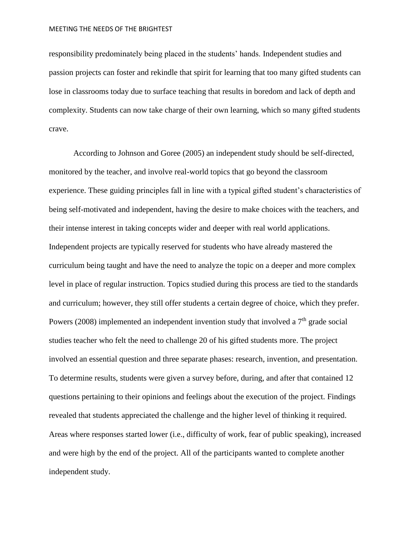responsibility predominately being placed in the students' hands. Independent studies and passion projects can foster and rekindle that spirit for learning that too many gifted students can lose in classrooms today due to surface teaching that results in boredom and lack of depth and complexity. Students can now take charge of their own learning, which so many gifted students crave.

According to Johnson and Goree (2005) an independent study should be self-directed, monitored by the teacher, and involve real-world topics that go beyond the classroom experience. These guiding principles fall in line with a typical gifted student's characteristics of being self-motivated and independent, having the desire to make choices with the teachers, and their intense interest in taking concepts wider and deeper with real world applications. Independent projects are typically reserved for students who have already mastered the curriculum being taught and have the need to analyze the topic on a deeper and more complex level in place of regular instruction. Topics studied during this process are tied to the standards and curriculum; however, they still offer students a certain degree of choice, which they prefer. Powers (2008) implemented an independent invention study that involved a  $7<sup>th</sup>$  grade social studies teacher who felt the need to challenge 20 of his gifted students more. The project involved an essential question and three separate phases: research, invention, and presentation. To determine results, students were given a survey before, during, and after that contained 12 questions pertaining to their opinions and feelings about the execution of the project. Findings revealed that students appreciated the challenge and the higher level of thinking it required. Areas where responses started lower (i.e., difficulty of work, fear of public speaking), increased and were high by the end of the project. All of the participants wanted to complete another independent study.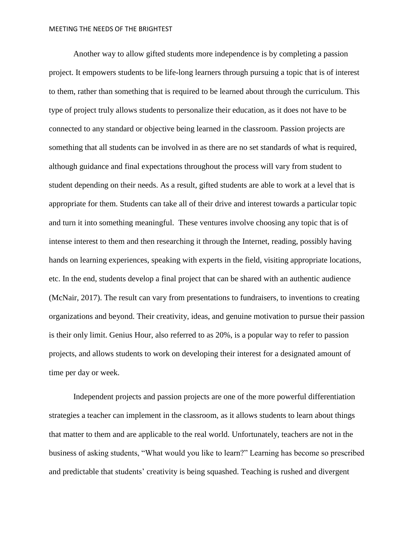Another way to allow gifted students more independence is by completing a passion project. It empowers students to be life-long learners through pursuing a topic that is of interest to them, rather than something that is required to be learned about through the curriculum. This type of project truly allows students to personalize their education, as it does not have to be connected to any standard or objective being learned in the classroom. Passion projects are something that all students can be involved in as there are no set standards of what is required, although guidance and final expectations throughout the process will vary from student to student depending on their needs. As a result, gifted students are able to work at a level that is appropriate for them. Students can take all of their drive and interest towards a particular topic and turn it into something meaningful. These ventures involve choosing any topic that is of intense interest to them and then researching it through the Internet, reading, possibly having hands on learning experiences, speaking with experts in the field, visiting appropriate locations, etc. In the end, students develop a final project that can be shared with an authentic audience (McNair, 2017). The result can vary from presentations to fundraisers, to inventions to creating organizations and beyond. Their creativity, ideas, and genuine motivation to pursue their passion is their only limit. Genius Hour, also referred to as 20%, is a popular way to refer to passion projects, and allows students to work on developing their interest for a designated amount of time per day or week.

Independent projects and passion projects are one of the more powerful differentiation strategies a teacher can implement in the classroom, as it allows students to learn about things that matter to them and are applicable to the real world. Unfortunately, teachers are not in the business of asking students, "What would you like to learn?" Learning has become so prescribed and predictable that students' creativity is being squashed. Teaching is rushed and divergent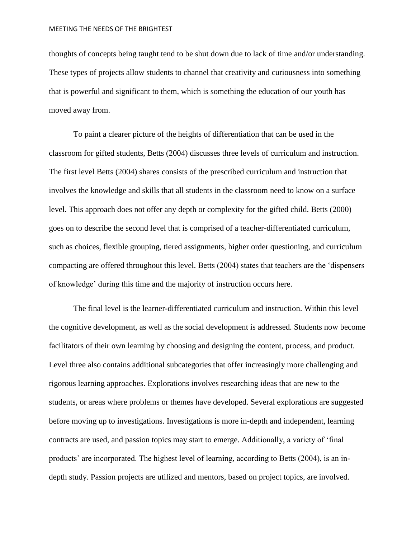thoughts of concepts being taught tend to be shut down due to lack of time and/or understanding. These types of projects allow students to channel that creativity and curiousness into something that is powerful and significant to them, which is something the education of our youth has moved away from.

To paint a clearer picture of the heights of differentiation that can be used in the classroom for gifted students, Betts (2004) discusses three levels of curriculum and instruction. The first level Betts (2004) shares consists of the prescribed curriculum and instruction that involves the knowledge and skills that all students in the classroom need to know on a surface level. This approach does not offer any depth or complexity for the gifted child. Betts (2000) goes on to describe the second level that is comprised of a teacher-differentiated curriculum, such as choices, flexible grouping, tiered assignments, higher order questioning, and curriculum compacting are offered throughout this level. Betts (2004) states that teachers are the 'dispensers of knowledge' during this time and the majority of instruction occurs here.

The final level is the learner-differentiated curriculum and instruction. Within this level the cognitive development, as well as the social development is addressed. Students now become facilitators of their own learning by choosing and designing the content, process, and product. Level three also contains additional subcategories that offer increasingly more challenging and rigorous learning approaches. Explorations involves researching ideas that are new to the students, or areas where problems or themes have developed. Several explorations are suggested before moving up to investigations. Investigations is more in-depth and independent, learning contracts are used, and passion topics may start to emerge. Additionally, a variety of 'final products' are incorporated. The highest level of learning, according to Betts (2004), is an indepth study. Passion projects are utilized and mentors, based on project topics, are involved.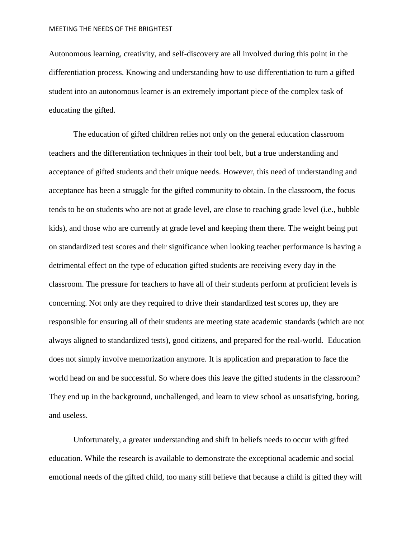Autonomous learning, creativity, and self-discovery are all involved during this point in the differentiation process. Knowing and understanding how to use differentiation to turn a gifted student into an autonomous learner is an extremely important piece of the complex task of educating the gifted.

The education of gifted children relies not only on the general education classroom teachers and the differentiation techniques in their tool belt, but a true understanding and acceptance of gifted students and their unique needs. However, this need of understanding and acceptance has been a struggle for the gifted community to obtain. In the classroom, the focus tends to be on students who are not at grade level, are close to reaching grade level (i.e., bubble kids), and those who are currently at grade level and keeping them there. The weight being put on standardized test scores and their significance when looking teacher performance is having a detrimental effect on the type of education gifted students are receiving every day in the classroom. The pressure for teachers to have all of their students perform at proficient levels is concerning. Not only are they required to drive their standardized test scores up, they are responsible for ensuring all of their students are meeting state academic standards (which are not always aligned to standardized tests), good citizens, and prepared for the real-world. Education does not simply involve memorization anymore. It is application and preparation to face the world head on and be successful. So where does this leave the gifted students in the classroom? They end up in the background, unchallenged, and learn to view school as unsatisfying, boring, and useless.

Unfortunately, a greater understanding and shift in beliefs needs to occur with gifted education. While the research is available to demonstrate the exceptional academic and social emotional needs of the gifted child, too many still believe that because a child is gifted they will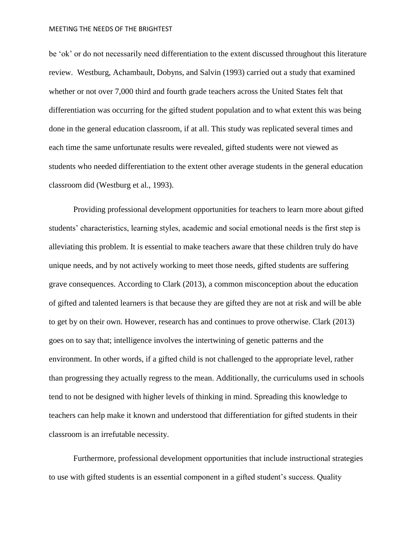be 'ok' or do not necessarily need differentiation to the extent discussed throughout this literature review. Westburg, Achambault, Dobyns, and Salvin (1993) carried out a study that examined whether or not over 7,000 third and fourth grade teachers across the United States felt that differentiation was occurring for the gifted student population and to what extent this was being done in the general education classroom, if at all. This study was replicated several times and each time the same unfortunate results were revealed, gifted students were not viewed as students who needed differentiation to the extent other average students in the general education classroom did (Westburg et al., 1993).

Providing professional development opportunities for teachers to learn more about gifted students' characteristics, learning styles, academic and social emotional needs is the first step is alleviating this problem. It is essential to make teachers aware that these children truly do have unique needs, and by not actively working to meet those needs, gifted students are suffering grave consequences. According to Clark (2013), a common misconception about the education of gifted and talented learners is that because they are gifted they are not at risk and will be able to get by on their own. However, research has and continues to prove otherwise. Clark (2013) goes on to say that; intelligence involves the intertwining of genetic patterns and the environment. In other words, if a gifted child is not challenged to the appropriate level, rather than progressing they actually regress to the mean. Additionally, the curriculums used in schools tend to not be designed with higher levels of thinking in mind. Spreading this knowledge to teachers can help make it known and understood that differentiation for gifted students in their classroom is an irrefutable necessity.

Furthermore, professional development opportunities that include instructional strategies to use with gifted students is an essential component in a gifted student's success. Quality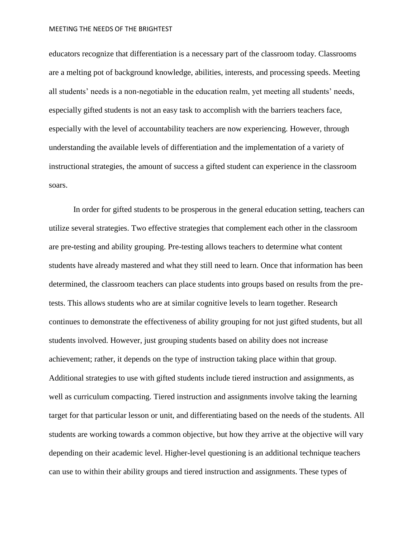educators recognize that differentiation is a necessary part of the classroom today. Classrooms are a melting pot of background knowledge, abilities, interests, and processing speeds. Meeting all students' needs is a non-negotiable in the education realm, yet meeting all students' needs, especially gifted students is not an easy task to accomplish with the barriers teachers face, especially with the level of accountability teachers are now experiencing. However, through understanding the available levels of differentiation and the implementation of a variety of instructional strategies, the amount of success a gifted student can experience in the classroom soars.

In order for gifted students to be prosperous in the general education setting, teachers can utilize several strategies. Two effective strategies that complement each other in the classroom are pre-testing and ability grouping. Pre-testing allows teachers to determine what content students have already mastered and what they still need to learn. Once that information has been determined, the classroom teachers can place students into groups based on results from the pretests. This allows students who are at similar cognitive levels to learn together. Research continues to demonstrate the effectiveness of ability grouping for not just gifted students, but all students involved. However, just grouping students based on ability does not increase achievement; rather, it depends on the type of instruction taking place within that group. Additional strategies to use with gifted students include tiered instruction and assignments, as well as curriculum compacting. Tiered instruction and assignments involve taking the learning target for that particular lesson or unit, and differentiating based on the needs of the students. All students are working towards a common objective, but how they arrive at the objective will vary depending on their academic level. Higher-level questioning is an additional technique teachers can use to within their ability groups and tiered instruction and assignments. These types of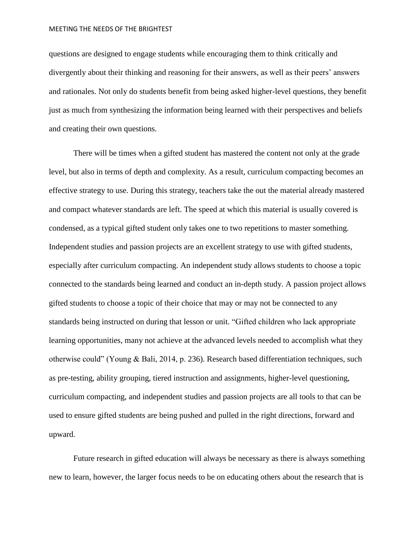questions are designed to engage students while encouraging them to think critically and divergently about their thinking and reasoning for their answers, as well as their peers' answers and rationales. Not only do students benefit from being asked higher-level questions, they benefit just as much from synthesizing the information being learned with their perspectives and beliefs and creating their own questions.

There will be times when a gifted student has mastered the content not only at the grade level, but also in terms of depth and complexity. As a result, curriculum compacting becomes an effective strategy to use. During this strategy, teachers take the out the material already mastered and compact whatever standards are left. The speed at which this material is usually covered is condensed, as a typical gifted student only takes one to two repetitions to master something. Independent studies and passion projects are an excellent strategy to use with gifted students, especially after curriculum compacting. An independent study allows students to choose a topic connected to the standards being learned and conduct an in-depth study. A passion project allows gifted students to choose a topic of their choice that may or may not be connected to any standards being instructed on during that lesson or unit. "Gifted children who lack appropriate learning opportunities, many not achieve at the advanced levels needed to accomplish what they otherwise could" (Young & Bali, 2014, p. 236). Research based differentiation techniques, such as pre-testing, ability grouping, tiered instruction and assignments, higher-level questioning, curriculum compacting, and independent studies and passion projects are all tools to that can be used to ensure gifted students are being pushed and pulled in the right directions, forward and upward.

Future research in gifted education will always be necessary as there is always something new to learn, however, the larger focus needs to be on educating others about the research that is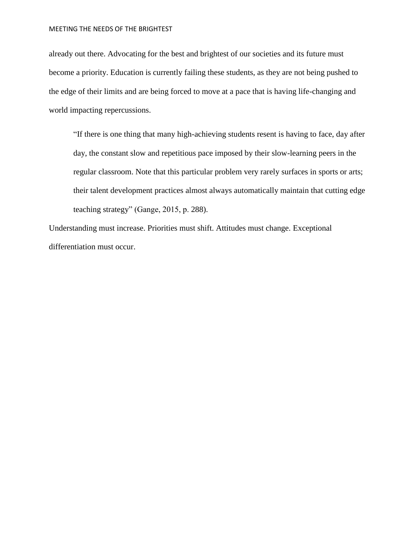already out there. Advocating for the best and brightest of our societies and its future must become a priority. Education is currently failing these students, as they are not being pushed to the edge of their limits and are being forced to move at a pace that is having life-changing and world impacting repercussions.

"If there is one thing that many high-achieving students resent is having to face, day after day, the constant slow and repetitious pace imposed by their slow-learning peers in the regular classroom. Note that this particular problem very rarely surfaces in sports or arts; their talent development practices almost always automatically maintain that cutting edge teaching strategy" (Gange, 2015, p. 288).

Understanding must increase. Priorities must shift. Attitudes must change. Exceptional differentiation must occur.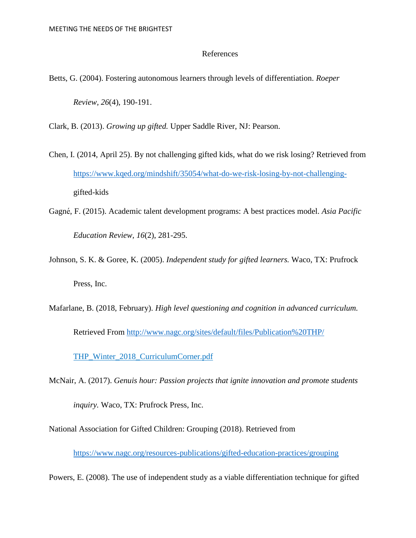### References

Betts, G. (2004). Fostering autonomous learners through levels of differentiation. *Roeper Review, 26*(4), 190-191.

Clark, B. (2013). *Growing up gifted.* Upper Saddle River, NJ: Pearson.

- Chen, I. (2014, April 25). By not challenging gifted kids, what do we risk losing? Retrieved from [https://www.kqed.org/mindshift/35054/what-do-we-risk-losing-by-not-challenging](https://www.kqed.org/mindshift/35054/what-do-we-risk-losing-by-not-challenging-)gifted-kids
- Gagné , F. (2015). Academic talent development programs: A best practices model. *Asia Pacific Education Review, 16*(2), 281-295.
- Johnson, S. K. & Goree, K. (2005). *Independent study for gifted learners.* Waco, TX: Prufrock Press, Inc.
- Mafarlane, B. (2018, February). *High level questioning and cognition in advanced curriculum.*  Retrieved From<http://www.nagc.org/sites/default/files/Publication%20THP/>

THP\_Winter\_2018\_CurriculumCorner.pdf

McNair, A. (2017). *Genuis hour: Passion projects that ignite innovation and promote students inquiry.* Waco, TX: Prufrock Press, Inc.

National Association for Gifted Children: Grouping (2018). Retrieved from

<https://www.nagc.org/resources-publications/gifted-education-practices/grouping>

Powers, E. (2008). The use of independent study as a viable differentiation technique for gifted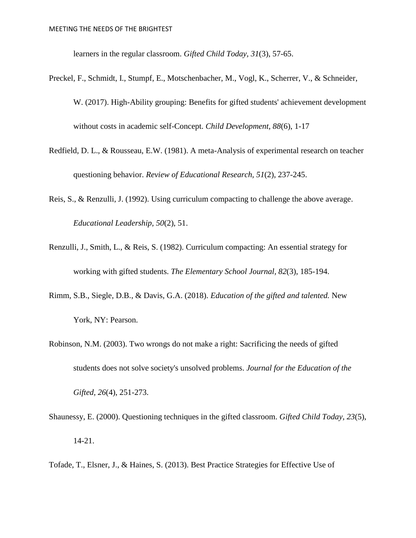learners in the regular classroom. *Gifted Child Today, 31*(3), 57-65.

- Preckel, F., Schmidt, I., Stumpf, E., Motschenbacher, M., Vogl, K., Scherrer, V., & Schneider, W. (2017). High-Ability grouping: Benefits for gifted students' achievement development without costs in academic self-Concept. *Child Development, 88*(6), 1-17
- Redfield, D. L., & Rousseau, E.W. (1981). A meta-Analysis of experimental research on teacher questioning behavior. *Review of Educational Research, 51*(2), 237-245.
- Reis, S., & Renzulli, J. (1992). Using curriculum compacting to challenge the above average. *Educational Leadership, 50*(2), 51.
- Renzulli, J., Smith, L., & Reis, S. (1982). Curriculum compacting: An essential strategy for working with gifted students. *The Elementary School Journal, 82*(3), 185-194.
- Rimm, S.B., Siegle, D.B., & Davis, G.A. (2018). *Education of the gifted and talented.* New York, NY: Pearson.
- Robinson, N.M. (2003). Two wrongs do not make a right: Sacrificing the needs of gifted students does not solve society's unsolved problems. *Journal for the Education of the Gifted, 26*(4), 251-273.
- Shaunessy, E. (2000). Questioning techniques in the gifted classroom. *Gifted Child Today, 23*(5), 14-21.
- Tofade, T., Elsner, J., & Haines, S. (2013). Best Practice Strategies for Effective Use of